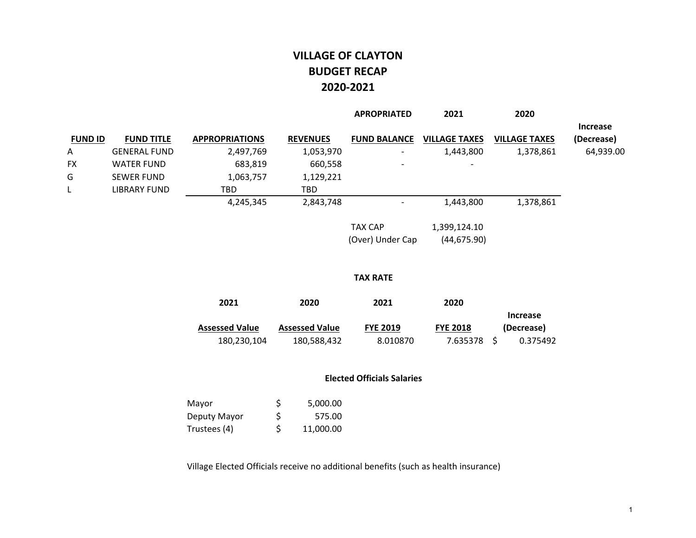## **VILLAGE OF CLAYTON BUDGET RECAP2020‐2021**

|                |                     |                       |                 | <b>APROPRIATED</b>       | 2021                     | 2020                 |                               |
|----------------|---------------------|-----------------------|-----------------|--------------------------|--------------------------|----------------------|-------------------------------|
| <b>FUND ID</b> | <b>FUND TITLE</b>   | <b>APPROPRIATIONS</b> | <b>REVENUES</b> | <b>FUND BALANCE</b>      | <b>VILLAGE TAXES</b>     | <b>VILLAGE TAXES</b> | <b>Increase</b><br>(Decrease) |
| $\mathsf{A}$   | <b>GENERAL FUND</b> | 2,497,769             | 1,053,970       | $\overline{\phantom{0}}$ | 1,443,800                | 1,378,861            | 64,939.00                     |
| FX.            | <b>WATER FUND</b>   | 683,819               | 660,558         | $\overline{\phantom{0}}$ | $\overline{\phantom{a}}$ |                      |                               |
| G              | <b>SEWER FUND</b>   | 1,063,757             | 1,129,221       |                          |                          |                      |                               |
|                | LIBRARY FUND        | TBD                   | TBD             |                          |                          |                      |                               |
|                |                     | 4,245,345             | 2,843,748       |                          | 1,443,800                | 1,378,861            |                               |
|                |                     |                       |                 | - <i>.</i>               | 1.00010110               |                      |                               |

TAX CAP 1,399,124.10 (Over) Under Cap (44,675.90)

#### **TAX RATE**

| 2021                  | 2020                  | 2021            | 2020            |            |
|-----------------------|-----------------------|-----------------|-----------------|------------|
|                       |                       |                 |                 | Increase   |
| <b>Assessed Value</b> | <b>Assessed Value</b> | <b>FYE 2019</b> | <b>FYE 2018</b> | (Decrease) |
| 180,230,104           | 180,588,432           | 8.010870        | 7.635378 S      | 0.375492   |

#### **Elected Officials Salaries**

| Mayor        | S   | 5,000.00  |
|--------------|-----|-----------|
| Deputy Mayor | \$. | 575.00    |
| Trustees (4) | \$  | 11,000.00 |

Village Elected Officials receive no additional benefits (such as health insurance)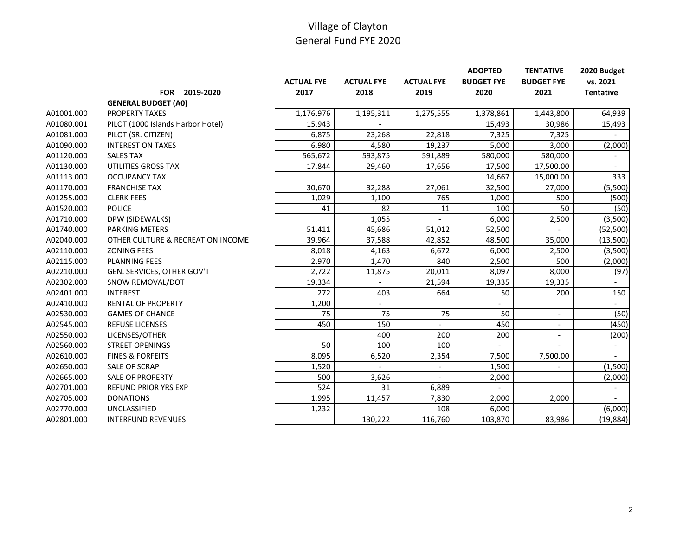|            |                                   |                   |                   |                   | <b>ADOPTED</b>           | <b>TENTATIVE</b>  | 2020 Budget              |
|------------|-----------------------------------|-------------------|-------------------|-------------------|--------------------------|-------------------|--------------------------|
|            |                                   | <b>ACTUAL FYE</b> | <b>ACTUAL FYE</b> | <b>ACTUAL FYE</b> | <b>BUDGET FYE</b>        | <b>BUDGET FYE</b> | vs. 2021                 |
|            | FOR 2019-2020                     | 2017              | 2018              | 2019              | 2020                     | 2021              | <b>Tentative</b>         |
|            | <b>GENERAL BUDGET (A0)</b>        |                   |                   |                   |                          |                   |                          |
| A01001.000 | <b>PROPERTY TAXES</b>             | 1,176,976         | 1,195,311         | 1,275,555         | 1,378,861                | 1,443,800         | 64,939                   |
| A01080.001 | PILOT (1000 Islands Harbor Hotel) | 15,943            |                   |                   | 15,493                   | 30,986            | 15,493                   |
| A01081.000 | PILOT (SR. CITIZEN)               | 6,875             | 23,268            | 22,818            | 7,325                    | 7,325             |                          |
| A01090.000 | <b>INTEREST ON TAXES</b>          | 6,980             | 4,580             | 19,237            | 5,000                    | 3,000             | (2,000)                  |
| A01120.000 | <b>SALES TAX</b>                  | 565,672           | 593,875           | 591,889           | 580,000                  | 580,000           | $\overline{\phantom{a}}$ |
| A01130.000 | UTILITIES GROSS TAX               | 17,844            | 29,460            | 17,656            | 17,500                   | 17,500.00         | $\overline{a}$           |
| A01113.000 | <b>OCCUPANCY TAX</b>              |                   |                   |                   | 14,667                   | 15,000.00         | 333                      |
| A01170.000 | <b>FRANCHISE TAX</b>              | 30,670            | 32,288            | 27,061            | 32,500                   | 27,000            | (5,500)                  |
| A01255.000 | <b>CLERK FEES</b>                 | 1,029             | 1,100             | 765               | 1,000                    | 500               | (500)                    |
| A01520.000 | <b>POLICE</b>                     | 41                | 82                | 11                | 100                      | 50                | (50)                     |
| A01710.000 | DPW (SIDEWALKS)                   |                   | 1,055             |                   | 6,000                    | 2,500             | (3,500)                  |
| A01740.000 | <b>PARKING METERS</b>             | 51,411            | 45,686            | 51,012            | 52,500                   |                   | (52, 500)                |
| A02040.000 | OTHER CULTURE & RECREATION INCOME | 39,964            | 37,588            | 42,852            | 48,500                   | 35,000            | (13,500)                 |
| A02110.000 | <b>ZONING FEES</b>                | 8,018             | 4,163             | 6,672             | 6,000                    | 2,500             | (3,500)                  |
| A02115.000 | <b>PLANNING FEES</b>              | 2,970             | 1,470             | 840               | 2,500                    | 500               | (2,000)                  |
| A02210.000 | GEN. SERVICES, OTHER GOV'T        | 2,722             | 11,875            | 20,011            | 8,097                    | 8,000             | (97)                     |
| A02302.000 | SNOW REMOVAL/DOT                  | 19,334            |                   | 21,594            | 19,335                   | 19,335            |                          |
| A02401.000 | <b>INTEREST</b>                   | 272               | 403               | 664               | 50                       | 200               | 150                      |
| A02410.000 | <b>RENTAL OF PROPERTY</b>         | 1,200             |                   |                   |                          |                   |                          |
| A02530.000 | <b>GAMES OF CHANCE</b>            | 75                | 75                | 75                | 50                       | $\overline{a}$    | (50)                     |
| A02545.000 | <b>REFUSE LICENSES</b>            | 450               | 150               |                   | 450                      |                   | (450)                    |
| A02550.000 | LICENSES/OTHER                    |                   | 400               | 200               | 200                      |                   | (200)                    |
| A02560.000 | <b>STREET OPENINGS</b>            | 50                | 100               | 100               | $\overline{\phantom{a}}$ |                   | $\overline{\phantom{a}}$ |
| A02610.000 | <b>FINES &amp; FORFEITS</b>       | 8,095             | 6,520             | 2,354             | 7,500                    | 7,500.00          | $\overline{a}$           |
| A02650.000 | <b>SALE OF SCRAP</b>              | 1,520             |                   |                   | 1,500                    |                   | (1,500)                  |
| A02665.000 | <b>SALE OF PROPERTY</b>           | 500               | 3,626             |                   | 2,000                    |                   | (2,000)                  |
| A02701.000 | <b>REFUND PRIOR YRS EXP</b>       | 524               | 31                | 6,889             |                          |                   |                          |
| A02705.000 | <b>DONATIONS</b>                  | 1,995             | 11,457            | 7,830             | 2,000                    | 2,000             |                          |
| A02770.000 | UNCLASSIFIED                      | 1,232             |                   | 108               | 6,000                    |                   | (6,000)                  |
| A02801.000 | <b>INTERFUND REVENUES</b>         |                   | 130,222           | 116,760           | 103,870                  | 83,986            | (19, 884)                |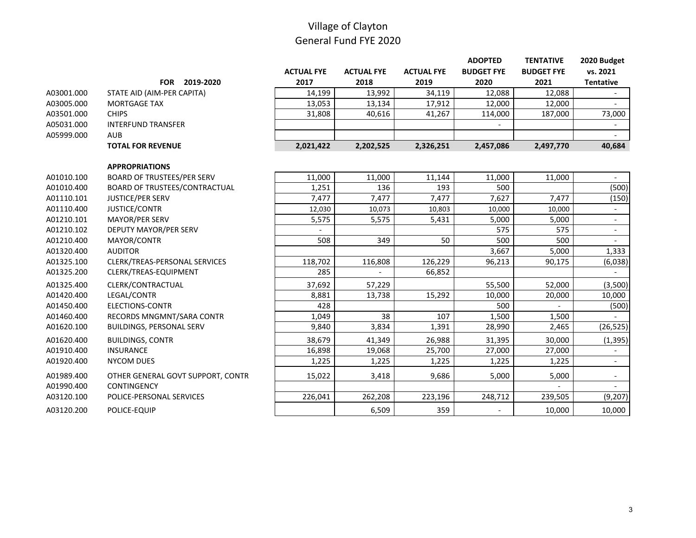|            |                                   |                   |                   |                   | <b>ADOPTED</b>    | <b>TENTATIVE</b>  | 2020 Budget              |
|------------|-----------------------------------|-------------------|-------------------|-------------------|-------------------|-------------------|--------------------------|
|            |                                   | <b>ACTUAL FYE</b> | <b>ACTUAL FYE</b> | <b>ACTUAL FYE</b> | <b>BUDGET FYE</b> | <b>BUDGET FYE</b> | vs. 2021                 |
|            | FOR 2019-2020                     | 2017              | 2018              | 2019              | 2020              | 2021              | <b>Tentative</b>         |
| A03001.000 | STATE AID (AIM-PER CAPITA)        | 14,199            | 13,992            | 34,119            | 12,088            | 12,088            |                          |
| A03005.000 | <b>MORTGAGE TAX</b>               | 13,053            | 13,134            | 17,912            | 12,000            | 12,000            |                          |
| A03501.000 | <b>CHIPS</b>                      | 31,808            | 40,616            | 41,267            | 114,000           | 187,000           | 73,000                   |
| A05031.000 | <b>INTERFUND TRANSFER</b>         |                   |                   |                   |                   |                   |                          |
| A05999.000 | <b>AUB</b>                        |                   |                   |                   |                   |                   |                          |
|            | <b>TOTAL FOR REVENUE</b>          | 2,021,422         | 2,202,525         | 2,326,251         | 2,457,086         | 2,497,770         | 40,684                   |
|            | <b>APPROPRIATIONS</b>             |                   |                   |                   |                   |                   |                          |
| A01010.100 | <b>BOARD OF TRUSTEES/PER SERV</b> | 11,000            | 11,000            | 11,144            | 11,000            | 11,000            |                          |
| A01010.400 | BOARD OF TRUSTEES/CONTRACTUAL     | 1,251             | 136               | 193               | 500               |                   | (500)                    |
| A01110.101 | JUSTICE/PER SERV                  | 7,477             | 7,477             | 7,477             | 7,627             | 7,477             | (150)                    |
| A01110.400 | JUSTICE/CONTR                     | 12,030            | 10,073            | 10,803            | 10,000            | 10,000            |                          |
| A01210.101 | MAYOR/PER SERV                    | 5,575             | 5,575             | 5,431             | 5,000             | 5,000             | $\blacksquare$           |
| A01210.102 | DEPUTY MAYOR/PER SERV             |                   |                   |                   | 575               | 575               | $\overline{\phantom{a}}$ |
| A01210.400 | MAYOR/CONTR                       | 508               | 349               | 50                | 500               | 500               | $\overline{\phantom{a}}$ |
| A01320.400 | <b>AUDITOR</b>                    |                   |                   |                   | 3,667             | 5,000             | 1,333                    |
| A01325.100 | CLERK/TREAS-PERSONAL SERVICES     | 118,702           | 116,808           | 126,229           | 96,213            | 90,175            | (6,038)                  |
| A01325.200 | CLERK/TREAS-EQUIPMENT             | 285               |                   | 66,852            |                   |                   |                          |
| A01325.400 | CLERK/CONTRACTUAL                 | 37,692            | 57,229            |                   | 55,500            | 52,000            | (3,500)                  |
| A01420.400 | LEGAL/CONTR                       | 8,881             | 13,738            | 15,292            | 10,000            | 20,000            | 10,000                   |
| A01450.400 | <b>ELECTIONS-CONTR</b>            | 428               |                   |                   | 500               |                   | (500)                    |
| A01460.400 | RECORDS MNGMNT/SARA CONTR         | 1,049             | 38                | 107               | 1,500             | 1,500             |                          |
| A01620.100 | BUILDINGS, PERSONAL SERV          | 9,840             | 3,834             | 1,391             | 28,990            | 2,465             | (26, 525)                |
| A01620.400 | <b>BUILDINGS, CONTR</b>           | 38,679            | 41,349            | 26,988            | 31,395            | 30,000            | (1, 395)                 |
| A01910.400 | <b>INSURANCE</b>                  | 16,898            | 19,068            | 25,700            | 27,000            | 27,000            |                          |
| A01920.400 | <b>NYCOM DUES</b>                 | 1,225             | 1,225             | 1,225             | 1,225             | 1,225             | $\overline{\phantom{a}}$ |
| A01989.400 | OTHER GENERAL GOVT SUPPORT, CONTR | 15,022            | 3,418             | 9,686             | 5,000             | 5,000             | $\overline{\phantom{a}}$ |
| A01990.400 | <b>CONTINGENCY</b>                |                   |                   |                   |                   |                   | $\blacksquare$           |
| A03120.100 | POLICE-PERSONAL SERVICES          | 226,041           | 262,208           | 223,196           | 248,712           | 239,505           | (9, 207)                 |
| A03120.200 | POLICE-EQUIP                      |                   | 6,509             | 359               |                   | 10,000            | 10,000                   |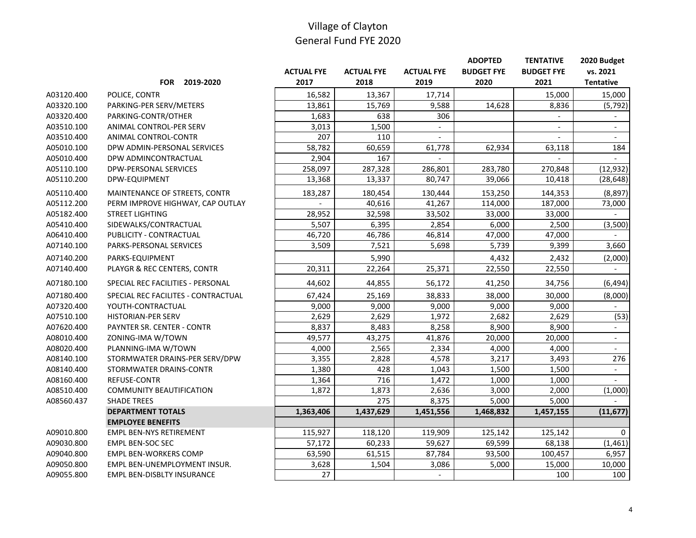|            |                                     |                   |                   |                          | <b>ADOPTED</b>      | <b>TENTATIVE</b>  | 2020 Budget              |
|------------|-------------------------------------|-------------------|-------------------|--------------------------|---------------------|-------------------|--------------------------|
|            |                                     | <b>ACTUAL FYE</b> | <b>ACTUAL FYE</b> | <b>ACTUAL FYE</b>        | <b>BUDGET FYE</b>   | <b>BUDGET FYE</b> | vs. 2021                 |
|            | FOR 2019-2020                       | 2017              | 2018              | 2019                     | 2020                | 2021              | <b>Tentative</b>         |
| A03120.400 | POLICE, CONTR                       | 16,582            | 13,367            | 17,714                   |                     | 15,000            | 15,000                   |
| A03320.100 | PARKING-PER SERV/METERS             | 13,861            | 15,769            | 9,588                    | 14,628              | 8,836             | (5, 792)                 |
| A03320.400 | PARKING-CONTR/OTHER                 | 1,683             | 638               | 306                      |                     |                   | $\overline{\phantom{a}}$ |
| A03510.100 | ANIMAL CONTROL-PER SERV             | 3,013             | 1,500             |                          |                     |                   | $\overline{\phantom{a}}$ |
| A03510.400 | ANIMAL CONTROL-CONTR                | 207               | 110               |                          |                     |                   | $\overline{a}$           |
| A05010.100 | DPW ADMIN-PERSONAL SERVICES         | 58,782            | 60,659            | 61,778                   | 62,934              | 63,118            | 184                      |
| A05010.400 | DPW ADMINCONTRACTUAL                | 2,904             | 167               |                          |                     |                   |                          |
| A05110.100 | <b>DPW-PERSONAL SERVICES</b>        | 258,097           | 287,328           | 286,801                  | 283,780             | 270,848           | (12, 932)                |
| A05110.200 | DPW-EQUIPMENT                       | 13,368            | 13,337            | 80,747                   | 39,066              | 10,418            | (28, 648)                |
| A05110.400 | MAINTENANCE OF STREETS, CONTR       | 183,287           | 180,454           | 130,444                  | 153,250             | 144,353           | (8, 897)                 |
| A05112.200 | PERM IMPROVE HIGHWAY, CAP OUTLAY    |                   | 40,616            | 41,267                   | 114,000             | 187,000           | 73,000                   |
| A05182.400 | <b>STREET LIGHTING</b>              | 28,952            | 32,598            | 33,502                   | 33,000              | 33,000            |                          |
| A05410.400 | SIDEWALKS/CONTRACTUAL               | 5,507             | 6,395             | 2,854                    | 6,000               | 2,500             | (3,500)                  |
| A06410.400 | PUBLICITY - CONTRACTUAL             | 46,720            | 46,786            | 46,814                   | $\overline{47,000}$ | 47,000            |                          |
| A07140.100 | PARKS-PERSONAL SERVICES             | 3,509             | 7,521             | 5,698                    | 5,739               | 9,399             | 3,660                    |
| A07140.200 | PARKS-EQUIPMENT                     |                   | 5,990             |                          | 4,432               | 2,432             | (2,000)                  |
| A07140.400 | PLAYGR & REC CENTERS, CONTR         | 20,311            | 22,264            | 25,371                   | 22,550              | 22,550            |                          |
| A07180.100 | SPECIAL REC FACILITIES - PERSONAL   | 44,602            | 44,855            | 56,172                   | 41,250              | 34,756            | (6, 494)                 |
| A07180.400 | SPECIAL REC FACILITES - CONTRACTUAL | 67,424            | 25,169            | 38,833                   | 38,000              | 30,000            | (8,000)                  |
| A07320.400 | YOUTH-CONTRACTUAL                   | 9,000             | 9,000             | 9,000                    | 9,000               | 9,000             | $\blacksquare$           |
| A07510.100 | <b>HISTORIAN-PER SERV</b>           | 2,629             | 2,629             | 1,972                    | 2,682               | 2,629             | (53)                     |
| A07620.400 | PAYNTER SR. CENTER - CONTR          | 8,837             | 8,483             | 8,258                    | 8,900               | 8,900             |                          |
| A08010.400 | ZONING-IMA W/TOWN                   | 49,577            | 43,275            | 41,876                   | 20,000              | 20,000            | $\overline{\phantom{a}}$ |
| A08020.400 | PLANNING-IMA W/TOWN                 | 4,000             | 2,565             | 2,334                    | 4,000               | 4,000             | $\overline{a}$           |
| A08140.100 | STORMWATER DRAINS-PER SERV/DPW      | 3,355             | 2,828             | 4,578                    | 3,217               | 3,493             | 276                      |
| A08140.400 | STORMWATER DRAINS-CONTR             | 1,380             | 428               | 1,043                    | 1,500               | 1,500             | $\blacksquare$           |
| A08160.400 | <b>REFUSE-CONTR</b>                 | 1,364             | 716               | 1,472                    | 1,000               | 1,000             | $\overline{a}$           |
| A08510.400 | <b>COMMUNITY BEAUTIFICATION</b>     | 1,872             | 1,873             | 2,636                    | 3,000               | 2,000             | (1,000)                  |
| A08560.437 | <b>SHADE TREES</b>                  |                   | $\overline{275}$  | 8,375                    | 5,000               | 5,000             |                          |
|            | <b>DEPARTMENT TOTALS</b>            | 1,363,406         | 1,437,629         | 1,451,556                | 1,468,832           | 1,457,155         | (11, 677)                |
|            | <b>EMPLOYEE BENEFITS</b>            |                   |                   |                          |                     |                   |                          |
| A09010.800 | <b>EMPL BEN-NYS RETIREMENT</b>      | 115,927           | 118,120           | 119,909                  | 125,142             | 125,142           | 0                        |
| A09030.800 | EMPL BEN-SOC SEC                    | 57,172            | 60,233            | 59,627                   | 69,599              | 68,138            | (1, 461)                 |
| A09040.800 | <b>EMPL BEN-WORKERS COMP</b>        | 63,590            | 61,515            | 87,784                   | 93,500              | 100,457           | 6,957                    |
| A09050.800 | EMPL BEN-UNEMPLOYMENT INSUR.        | 3,628             | 1,504             | 3,086                    | 5,000               | 15,000            | 10,000                   |
| A09055.800 | EMPL BEN-DISBLTY INSURANCE          | 27                |                   | $\overline{\phantom{a}}$ |                     | 100               | 100                      |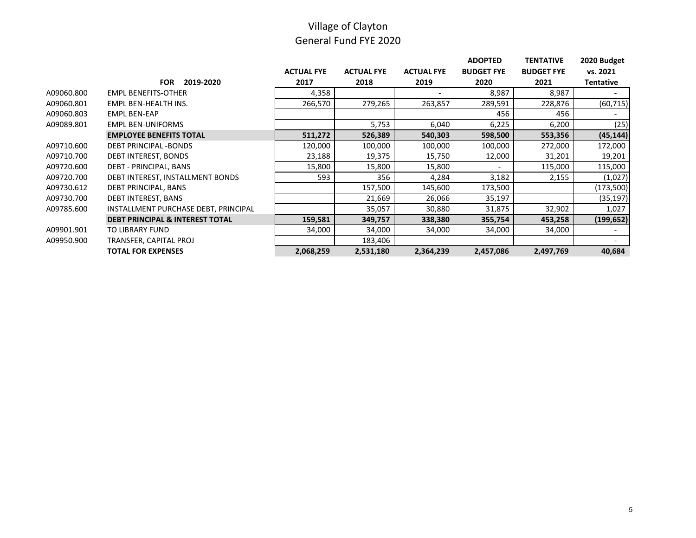|            |                                            |                   |                   |                   | <b>ADOPTED</b>           | <b>TENTATIVE</b>  | 2020 Budget      |
|------------|--------------------------------------------|-------------------|-------------------|-------------------|--------------------------|-------------------|------------------|
|            |                                            | <b>ACTUAL FYE</b> | <b>ACTUAL FYE</b> | <b>ACTUAL FYE</b> | <b>BUDGET FYE</b>        | <b>BUDGET FYE</b> | vs. 2021         |
|            | <b>FOR</b><br>2019-2020                    | 2017              | 2018              | 2019              | 2020                     | 2021              | <b>Tentative</b> |
| A09060.800 | <b>EMPL BENEFITS-OTHER</b>                 | 4,358             |                   |                   | 8,987                    | 8,987             |                  |
| A09060.801 | EMPL BEN-HEALTH INS.                       | 266,570           | 279,265           | 263,857           | 289,591                  | 228,876           | (60, 715)        |
| A09060.803 | <b>EMPL BEN-EAP</b>                        |                   |                   |                   | 456                      | 456               |                  |
| A09089.801 | <b>EMPL BEN-UNIFORMS</b>                   |                   | 5,753             | 6,040             | 6,225                    | 6,200             | (25)             |
|            | <b>EMPLOYEE BENEFITS TOTAL</b>             | 511,272           | 526,389           | 540,303           | 598,500                  | 553,356           | (45, 144)        |
| A09710.600 | <b>DEBT PRINCIPAL -BONDS</b>               | 120,000           | 100,000           | 100,000           | 100,000                  | 272,000           | 172,000          |
| A09710.700 | DEBT INTEREST, BONDS                       | 23,188            | 19,375            | 15,750            | 12,000                   | 31,201            | 19,201           |
| A09720.600 | DEBT - PRINCIPAL, BANS                     | 15,800            | 15,800            | 15,800            | $\overline{\phantom{0}}$ | 115,000           | 115,000          |
| A09720.700 | DEBT INTEREST, INSTALLMENT BONDS           | 593               | 356               | 4,284             | 3,182                    | 2,155             | (1,027)          |
| A09730.612 | DEBT PRINCIPAL, BANS                       |                   | 157,500           | 145,600           | 173,500                  |                   | (173, 500)       |
| A09730.700 | DEBT INTEREST, BANS                        |                   | 21,669            | 26,066            | 35,197                   |                   | (35, 197)        |
| A09785.600 | INSTALLMENT PURCHASE DEBT, PRINCIPAL       |                   | 35,057            | 30,880            | 31,875                   | 32,902            | 1,027            |
|            | <b>DEBT PRINCIPAL &amp; INTEREST TOTAL</b> | 159,581           | 349,757           | 338,380           | 355,754                  | 453,258           | (199, 652)       |
| A09901.901 | TO LIBRARY FUND                            | 34,000            | 34,000            | 34,000            | 34,000                   | 34,000            |                  |
| A09950.900 | TRANSFER, CAPITAL PROJ                     |                   | 183,406           |                   |                          |                   |                  |
|            | <b>TOTAL FOR EXPENSES</b>                  | 2,068,259         | 2,531,180         | 2,364,239         | 2,457,086                | 2,497,769         | 40,684           |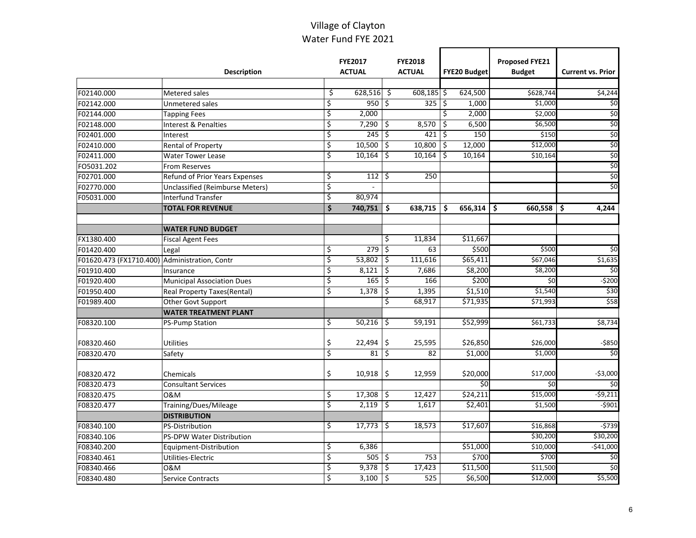### Village of Clayton Water Fund FYE 2021

|                                               | <b>Description</b>                     |                        | <b>FYE2017</b><br><b>ACTUAL</b> |                          | <b>FYE2018</b><br><b>ACTUAL</b> |    | <b>FYE20 Budget</b> | <b>Proposed FYE21</b><br><b>Budget</b> | <b>Current vs. Prior</b> |
|-----------------------------------------------|----------------------------------------|------------------------|---------------------------------|--------------------------|---------------------------------|----|---------------------|----------------------------------------|--------------------------|
| F02140.000                                    | Metered sales                          | \$                     | $628,516$ \$                    |                          | 608,185 \$                      |    | 624,500             | \$628,744                              | \$4,244                  |
| F02142.000                                    | Unmetered sales                        | \$                     | 950                             | $\ddot{\mathsf{S}}$      | 325                             | Ś  | 1,000               | \$1,000                                | \$0                      |
| F02144.000                                    | <b>Tapping Fees</b>                    | \$                     | 2,000                           |                          |                                 | \$ | 2,000               | \$2,000                                | \$0                      |
| F02148.000                                    | Interest & Penalties                   | \$                     | 7,290                           | \$                       | 8,570                           | \$ | 6,500               | \$6,500                                | \$0                      |
| F02401.000                                    | Interest                               | \$                     | 245                             | ٦\$                      | 421                             | \$ | 150                 | \$150                                  | \$0                      |
| F02410.000                                    | <b>Rental of Property</b>              | \$                     | 10,500                          | \$                       | 10,800                          | \$ | 12,000              | \$12,000                               | \$0                      |
| F02411.000                                    | <b>Water Tower Lease</b>               | \$                     | 10,164                          | \$                       | 10,164                          | \$ | 10,164              | \$10,164                               | \$0                      |
| FO5031.202                                    | <b>From Reserves</b>                   |                        |                                 |                          |                                 |    |                     |                                        | \$0                      |
| F02701.000                                    | <b>Refund of Prior Years Expenses</b>  | \$                     | 112                             | \$                       | 250                             |    |                     |                                        | \$0                      |
| F02770.000                                    | <b>Unclassified (Reimburse Meters)</b> | $\overline{\varsigma}$ |                                 |                          |                                 |    |                     |                                        | $\zeta$                  |
| F05031.000                                    | <b>Interfund Transfer</b>              | \$                     | 80,974                          |                          |                                 |    |                     |                                        |                          |
|                                               | <b>TOTAL FOR REVENUE</b>               | \$                     | 740,751                         | \$                       | 638,715                         | \$ | 656,314             | Ŝ.<br>$660,558$ \$                     | 4,244                    |
|                                               |                                        |                        |                                 |                          |                                 |    |                     |                                        |                          |
|                                               | <b>WATER FUND BUDGET</b>               |                        |                                 |                          |                                 |    |                     |                                        |                          |
| FX1380.400                                    | <b>Fiscal Agent Fees</b>               |                        |                                 | \$                       | 11,834                          |    | \$11,667            |                                        |                          |
| F01420.400                                    | Legal                                  | \$                     | 279                             | \$                       | 63                              |    | \$500               | \$500                                  | \$0                      |
| F01620.473 (FX1710.400) Administration, Contr |                                        | \$                     | 53,802                          | \$                       | 111,616                         |    | \$65,411            | \$67,046                               | \$1,635                  |
| F01910.400                                    | Insurance                              | \$                     | 8,121                           | \$                       | 7,686                           |    | \$8,200             | \$8,200                                | \$0                      |
| F01920.400                                    | <b>Municipal Association Dues</b>      | \$                     | 165                             | \$                       | 166                             |    | \$200               | \$0                                    | $-5200$                  |
| F01950.400                                    | Real Property Taxes(Rental)            | \$                     | 1,378                           | \$                       | 1,395                           |    | \$1,510             | \$1,540                                | \$30                     |
| F01989.400                                    | Other Govt Support                     |                        |                                 | \$                       | 68,917                          |    | \$71,935            | \$71,993                               | \$58                     |
|                                               | <b>WATER TREATMENT PLANT</b>           |                        |                                 |                          |                                 |    |                     |                                        |                          |
| F08320.100                                    | <b>PS-Pump Station</b>                 | \$                     | 50,216                          | ا ج                      | 59,191                          |    | \$52,999            | \$61,733                               | \$8,734                  |
| F08320.460                                    | <b>Utilities</b>                       | \$                     | 22,494                          | \$                       | 25,595                          |    | \$26,850            | \$26,000                               | $-$ \$850                |
| F08320.470                                    | Safety                                 | \$                     | 81                              | \$                       | 82                              |    | \$1,000             | \$1,000                                | \$0                      |
| F08320.472                                    | Chemicals                              | \$                     | 10,918                          | \$                       | 12,959                          |    | \$20,000            | \$17,000                               | $-$3,000$                |
| F08320.473                                    | <b>Consultant Services</b>             |                        |                                 |                          |                                 |    | \$0                 | \$0                                    | \$0                      |
| F08320.475                                    | 0&M                                    | \$                     | $17,308$ \$                     |                          | 12,427                          |    | \$24,211            | \$15,000                               | $-59,211$                |
| F08320.477                                    | Training/Dues/Mileage                  | \$                     | 2.119                           | $\overline{\phantom{a}}$ | 1,617                           |    | \$2,401             | \$1,500                                | $-5901$                  |
|                                               | <b>DISTRIBUTION</b>                    |                        |                                 |                          |                                 |    |                     |                                        |                          |
| F08340.100                                    | <b>PS-Distribution</b>                 | \$                     | 17,773                          | \$                       | 18,573                          |    | \$17,607            | \$16,868                               | $-5739$                  |
| F08340.106                                    | <b>PS-DPW Water Distribution</b>       |                        |                                 |                          |                                 |    |                     | \$30,200                               | \$30,200                 |
| F08340.200                                    | Equipment-Distribution                 | \$                     | 6,386                           |                          |                                 |    | \$51,000            | \$10,000                               | $-$41,000$               |
| F08340.461                                    | Utilities-Electric                     | \$                     | $505 \, \zeta$                  |                          | 753                             |    | \$700               | \$700                                  | $\frac{1}{2}$            |
| F08340.466                                    | 0&M                                    | \$                     | 9,378                           | \$                       | 17,423                          |    | \$11,500            | \$11,500                               | $\overline{50}$          |
| F08340.480                                    | Service Contracts                      | \$                     | 3,100                           | ٦\$                      | 525                             |    | \$6,500             | \$12,000                               | \$5,500                  |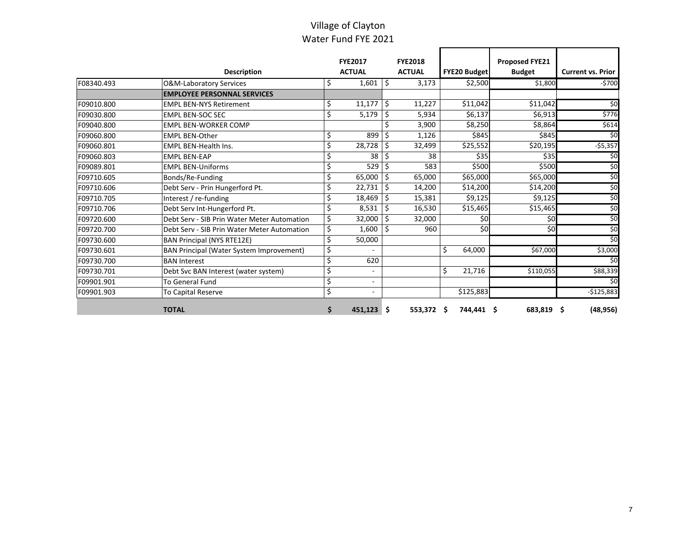### Village of Clayton Water Fund FYE 2021

|            |                                                 |    | <b>FYE2017</b> |     | <b>FYE2018</b> |                     | <b>Proposed FYE21</b> |                          |
|------------|-------------------------------------------------|----|----------------|-----|----------------|---------------------|-----------------------|--------------------------|
|            | <b>Description</b>                              |    | <b>ACTUAL</b>  |     | <b>ACTUAL</b>  | <b>FYE20 Budget</b> | <b>Budget</b>         | <b>Current vs. Prior</b> |
| F08340.493 | O&M-Laboratory Services                         | Ş  | 1,601          | Ŝ.  | 3,173          | \$2,500             | \$1,800               | $-5700$                  |
|            | <b>EMPLOYEE PERSONNAL SERVICES</b>              |    |                |     |                |                     |                       |                          |
| F09010.800 | <b>IEMPL BEN-NYS Retirement</b>                 | \$ | 11,177         | Ŝ.  | 11,227         | \$11,042            | \$11,042              | \$0                      |
| F09030.800 | <b>EMPL BEN-SOC SEC</b>                         | \$ | 5,179          | \$  | 5,934          | \$6,137             | \$6,913               | \$776                    |
| F09040.800 | EMPL BEN-WORKER COMP                            |    |                |     | 3,900          | \$8,250             | \$8,864               | \$614                    |
| F09060.800 | <b>EMPL BEN-Other</b>                           | \$ | 899            | \$  | 1,126          | \$845               | \$845                 | \$0                      |
| F09060.801 | <b>EMPL BEN-Health Ins.</b>                     | \$ | 28,728         | \$  | 32,499         | \$25,552            | \$20,195              | $-55,357$                |
| F09060.803 | <b>EMPL BEN-EAP</b>                             | \$ | 38             | \$  | 38             | \$35                | \$35                  | \$0                      |
| F09089.801 | <b>EMPL BEN-Uniforms</b>                        | \$ | 529            | \$  | 583            | \$500               | \$500                 | \$0                      |
| F09710.605 | Bonds/Re-Funding                                | \$ | 65,000         | Ŝ.  | 65,000         | \$65,000            | \$65,000              | \$0                      |
| F09710.606 | Debt Serv - Prin Hungerford Pt.                 | \$ | 22,731         | \$  | 14,200         | \$14,200            | \$14,200              | \$0                      |
| F09710.705 | Interest / re-funding                           | \$ | 18,469         | S.  | 15,381         | \$9,125             | \$9,125               | \$0                      |
| F09710.706 | Debt Serv Int-Hungerford Pt.                    | \$ | 8,531          | \$  | 16,530         | \$15,465            | \$15,465              | $\frac{1}{6}$            |
| F09720.600 | Debt Serv - SIB Prin Water Meter Automation     | \$ | 32,000         | Ŝ.  | 32,000         | \$0                 | \$0                   | \$0                      |
| F09720.700 | Debt Serv - SIB Prin Water Meter Automation     | \$ | 1,600          | -\$ | 960            | \$0                 | \$0                   | \$0                      |
| F09730.600 | <b>BAN Principal (NYS RTE12E)</b>               | Ś  | 50,000         |     |                |                     |                       | \$0                      |
| F09730.601 | <b>BAN Principal (Water System Improvement)</b> | \$ |                |     |                | \$<br>64,000        | \$67,000              | \$3,000                  |
| F09730.700 | <b>BAN Interest</b>                             | \$ | 620            |     |                |                     |                       | \$0                      |
| F09730.701 | Debt Svc BAN Interest (water system)            | \$ |                |     |                | \$<br>21,716        | \$110,055             | \$88,339                 |
| F09901.901 | <b>To General Fund</b>                          | \$ |                |     |                |                     |                       | \$0                      |
| F09901.903 | <b>To Capital Reserve</b>                       | \$ | ٠              |     |                | \$125,883           |                       | $-$125,883$              |
|            | <b>TOTAL</b>                                    | \$ | 451,123        | \$. | 553,372 \$     | 744,441 \$          | 683,819 \$            | (48, 956)                |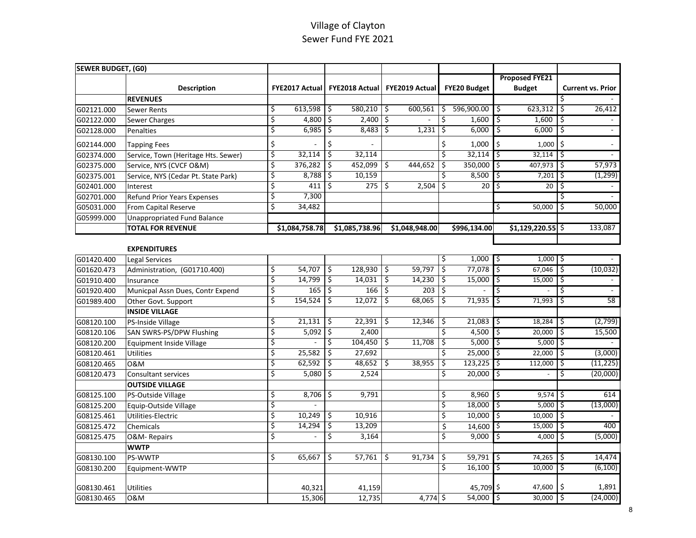| SEWER BUDGET, (G0) |                                     |                       |                |                       |                     |                       |    |                     |    |                       |               |                          |
|--------------------|-------------------------------------|-----------------------|----------------|-----------------------|---------------------|-----------------------|----|---------------------|----|-----------------------|---------------|--------------------------|
|                    |                                     |                       |                |                       |                     |                       |    |                     |    | <b>Proposed FYE21</b> |               |                          |
|                    | <b>Description</b>                  | <b>FYE2017 Actual</b> |                | <b>FYE2018 Actual</b> |                     | <b>FYE2019 Actual</b> |    | <b>FYE20 Budget</b> |    | <b>Budget</b>         |               | <b>Current vs. Prior</b> |
|                    | <b>REVENUES</b>                     |                       |                |                       |                     |                       |    |                     |    |                       | Ŝ             |                          |
| G02121.000         | <b>Sewer Rents</b>                  | \$<br>613,598         | \$             | $580,210$ \$          |                     | 600,561               | \$ | 596,900.00          | \$ | 623,312               | $\mathcal{S}$ | 26,412                   |
| G02122.000         | Sewer Charges                       | \$<br>4,800           | \$             | 2,400                 | $\ddot{\mathsf{S}}$ |                       | \$ | 1,600               | \$ | 1,600                 | \$            |                          |
| G02128.000         | Penalties                           | \$<br>6,985           | \$             | $8,483$ \$            |                     | 1,231                 | \$ | 6,000               | \$ | $6,000$ $\frac{2}{5}$ |               | $\blacksquare$           |
| G02144.000         | <b>Tapping Fees</b>                 | \$                    | \$             |                       |                     |                       | \$ | 1,000               | \$ | $1,000$ \$            |               |                          |
| G02374.000         | Service, Town (Heritage Hts. Sewer) | \$<br>32,114          | \$             | 32,114                |                     |                       | \$ | 32,114              | \$ | $32,114$ \$           |               |                          |
| G02375.000         | Service, NYS (CVCF O&M)             | \$<br>376,282         | \$             | 452,099               | \$                  | 444,652               | \$ | 350,000             | \$ | $407,973$ \$          |               | 57,973                   |
| G02375.001         | Service, NYS (Cedar Pt. State Park) | \$<br>8,788           | \$             | 10,159                |                     |                       | \$ | 8,500               | \$ | $7,201$ \$            |               | (1, 299)                 |
| G02401.000         | Interest                            | \$<br>411             | \$             | $275$ \$              |                     | 2,504                 | \$ | 20                  | \$ | 20                    | \$            |                          |
| G02701.000         | <b>Refund Prior Years Expenses</b>  | \$<br>7,300           |                |                       |                     |                       |    |                     |    |                       |               |                          |
| G05031.000         | From Capital Reserve                | \$<br>34,482          |                |                       |                     |                       |    |                     | \$ | 50,000                | \$            | 50,000                   |
| G05999.000         | <b>Unappropriated Fund Balance</b>  |                       |                |                       |                     |                       |    |                     |    |                       |               |                          |
|                    | <b>TOTAL FOR REVENUE</b>            | \$1,084,758.78        |                | \$1,085,738.96        |                     | \$1,048,948.00        |    | \$996,134.00        |    | \$1,129,220.55        |               | 133,087                  |
|                    |                                     |                       |                |                       |                     |                       |    |                     |    |                       |               |                          |
|                    | <b>EXPENDITURES</b>                 |                       |                |                       |                     |                       |    |                     |    |                       |               |                          |
| G01420.400         | Legal Services                      |                       |                |                       |                     |                       | \$ | 1,000               | \$ | $1,000$   \$          |               |                          |
| G01620.473         | Administration, (G01710.400)        | \$<br>54,707          | $\mathfrak{S}$ | $128,930$ \$          |                     | 59,797                | \$ | 77,078              | \$ | 67,046                | \$            | (10, 032)                |
| G01910.400         | Insurance                           | \$<br>14,799          | \$             | $14,031$ \$           |                     | 14,230                | \$ | 15,000              | \$ | 15,000                | \$            |                          |
| G01920.400         | Municpal Assn Dues, Contr Expend    | \$<br>165             | \$             | $166 \frac{2}{5}$     |                     | 203                   | ې  |                     | \$ |                       | \$            | $\omega$                 |
| G01989.400         | Other Govt. Support                 | \$<br>154,524         | \$             | 12,072                | \$                  | 68,065                | Ś  | 71,935              | \$ | 71,993                | \$            | 58                       |
|                    | <b>INSIDE VILLAGE</b>               |                       |                |                       |                     |                       |    |                     |    |                       |               |                          |
| G08120.100         | PS-Inside Village                   | \$<br>21,131          | \$             | 22,391                | \$                  | 12,346                | \$ | 21,083              | \$ | 18,284                | \$            | (2,799)                  |
| G08120.106         | SAN SWRS-PS/DPW Flushing            | \$<br>5,092           | \$             | 2,400                 |                     |                       | \$ | 4,500               | \$ | 20,000                | \$            | 15,500                   |
| G08120.200         | Equipment Inside Village            | \$                    | \$             | $104,450$ \$          |                     | 11,708                | \$ | 5,000               | \$ | $5,000$ \$            |               |                          |
| G08120.461         | <b>Utilities</b>                    | \$<br>25,582          | \$             | 27,692                |                     |                       | \$ | 25,000              | \$ | 22,000                | \$            | (3,000)                  |
| G08120.465         | 0&M                                 | \$<br>62,592          | \$             | $48,652$ \$           |                     | 38,955                | \$ | 123,225             | \$ | 112,000               | \$            | (11, 225)                |
| G08120.473         | <b>Consultant services</b>          | \$<br>5,080           | \$             | 2,524                 |                     |                       | \$ | 20,000              | \$ |                       | \$            | (20,000)                 |
|                    | <b>OUTSIDE VILLAGE</b>              |                       |                |                       |                     |                       |    |                     |    |                       |               |                          |
| G08125.100         | PS-Outside Village                  | \$<br>8,706           | \$             | 9,791                 |                     |                       | \$ | 8,960               | \$ | $9,574$ \$            |               | 614                      |
| G08125.200         | Equip-Outside Village               | \$                    |                |                       |                     |                       | \$ | 18,000              | \$ | $5,000$ \$            |               | (13,000)                 |
| G08125.461         | Utilities-Electric                  | \$<br>10,249          | \$             | 10,916                |                     |                       | \$ | 10,000              | \$ | 10,000                | \$            |                          |
| G08125.472         | Chemicals                           | \$<br>14,294          | \$             | 13,209                |                     |                       | \$ | 14,600              | \$ | 15,000                | \$            | 400                      |
| G08125.475         | O&M-Repairs                         | \$                    | \$             | 3,164                 |                     |                       | Ś. | 9,000               | \$ | 4,000                 | l\$           | (5,000)                  |
|                    | <b>WWTP</b>                         |                       |                |                       |                     |                       |    |                     |    |                       |               |                          |
| G08130.100         | PS-WWTP                             | \$<br>65,667          | \$             | 57,761                | \$                  | 91,734                | \$ | 59,791              | \$ | 74,265                | \$            | 14,474                   |
| G08130.200         | Equipment-WWTP                      |                       |                |                       |                     |                       | \$ | 16,100              | \$ | 10,000                | \$            | (6, 100)                 |
|                    |                                     |                       |                |                       |                     |                       |    |                     |    |                       |               |                          |
| G08130.461         | <b>Utilities</b>                    | 40,321                |                | 41,159                |                     |                       |    | 45,709 \$           |    | 47,600                | \$            | 1,891                    |
| G08130.465         | 0&M                                 | 15,306                |                | 12,735                |                     | $4,774$ \$            |    | 54,000              | ه  | 30,000                | \$            | (24,000)                 |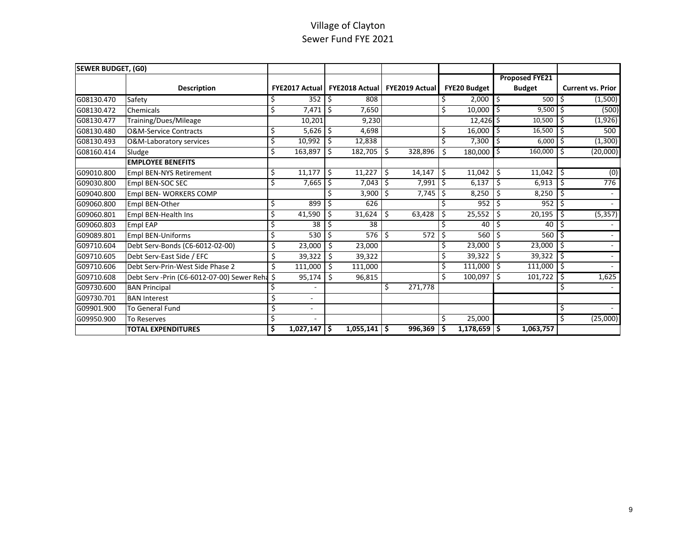| <b>SEWER BUDGET, (GO)</b> |                                               |    |                |     |                           |    |                       |                  |                     |    |                       |    |                          |
|---------------------------|-----------------------------------------------|----|----------------|-----|---------------------------|----|-----------------------|------------------|---------------------|----|-----------------------|----|--------------------------|
|                           |                                               |    |                |     |                           |    |                       |                  |                     |    | <b>Proposed FYE21</b> |    |                          |
|                           | <b>Description</b>                            |    | FYE2017 Actual |     | <b>FYE2018 Actual</b>     |    | <b>FYE2019 Actual</b> |                  | <b>FYE20 Budget</b> |    | <b>Budget</b>         |    | <b>Current vs. Prior</b> |
| G08130.470                | Safety                                        | \$ | 352            | \$  | 808                       |    |                       | \$               | 2,000               | Ś. | 500                   | Ŝ  | (1,500)                  |
| G08130.472                | Chemicals                                     | Ś  | 7,471          | Ŝ.  | 7,650                     |    |                       | $\overline{\xi}$ | 10,000              | Ŝ. | 9.500                 | Ŝ  | (500)                    |
| G08130.477                | Training/Dues/Mileage                         |    | 10,201         |     | 9,230                     |    |                       |                  | $12,426$ \$         |    | 10,500                | \$ | (1, 926)                 |
| G08130.480                | <b>O&amp;M-Service Contracts</b>              | Ś  | 5,626          | \$  | 4,698                     |    |                       | \$               | 16,000              | Ŝ. | 16,500                | \$ | 500                      |
| G08130.493                | O&M-Laboratory services                       | Ś  | 10,992         | \$  | 12,838                    |    |                       | \$               | 7,300               |    | 6,000                 | \$ | (1, 300)                 |
| G08160.414                | Sludge                                        | Ś  | 163,897        | Ś.  | 182,705                   | \$ | 328,896               | Ś                | 180,000             | Ŝ. | 160,000               | Ŝ  | (20,000)                 |
|                           | <b>EMPLOYEE BENEFITS</b>                      |    |                |     |                           |    |                       |                  |                     |    |                       |    |                          |
| G09010.800                | <b>Empl BEN-NYS Retirement</b>                | \$ | 11,177         | \$  | 11,227                    | \$ | 14,147                | \$               | 11,042              | \$ | 11,042                | Ś  | (0)                      |
| G09030.800                | Empl BEN-SOC SEC                              | Ś  | 7,665          | Ŝ.  | 7,043                     | S, | 7,991                 | Ŝ.               | 6,137               | \$ | 6,913                 | Ŝ  | 776                      |
| G09040.800                | Empl BEN- WORKERS COMP                        |    |                |     | 3,900                     | Ŝ. | 7,745                 | \$               | 8,250               | \$ | 8,250                 | \$ |                          |
| G09060.800                | Empl BEN-Other                                | \$ | 899            |     | 626                       |    |                       | \$               | 952                 |    | 952                   | Ś  |                          |
| G09060.801                | Empl BEN-Health Ins                           | Ś  | 41,590         |     | 31,624                    | \$ | 63,428                | \$               | 25,552              | \$ | 20,195                | S  | (5, 357)                 |
| G09060.803                | Empl EAP                                      |    | 38             | Ŝ.  | 38                        |    |                       | Ŝ.               | 40                  | Ś  | 40                    | Ś  |                          |
| G09089.801                | Empl BEN-Uniforms                             | Ś  | 530            | \$  | 576                       | Ŝ. | 572                   | \$               | 560                 | Ś  | 560                   | Ś  |                          |
| G09710.604                | Debt Serv-Bonds (C6-6012-02-00)               |    | 23,000         | \$  | 23,000                    |    |                       | \$               | 23,000              | Ś  | 23,000                | Ś  |                          |
| G09710.605                | Debt Serv-East Side / EFC                     | \$ | 39,322         | \$  | 39,322                    |    |                       | \$               | 39,322              | \$ | 39,322                | \$ |                          |
| G09710.606                | Debt Serv-Prin-West Side Phase 2              | Ś. | 111,000        | Ś   | 111,000                   |    |                       | $\overline{\xi}$ | 111,000             | \$ | 111,000               | \$ |                          |
| G09710.608                | Debt Serv -Prin (C6-6012-07-00) Sewer Reha \$ |    | 95,174         | Ś   | 96,815                    |    |                       | Ś                | 100,097             | \$ | 101,722               | \$ | 1,625                    |
| G09730.600                | <b>BAN Principal</b>                          |    |                |     |                           | \$ | 271,778               |                  |                     |    |                       | Ś  |                          |
| G09730.701                | <b>BAN Interest</b>                           |    | ٠              |     |                           |    |                       |                  |                     |    |                       |    |                          |
| G09901.900                | <b>To General Fund</b>                        |    |                |     |                           |    |                       |                  |                     |    |                       | \$ |                          |
| G09950.900                | To Reserves                                   | Ś  |                |     |                           |    |                       | \$               | 25,000              |    |                       | \$ | (25,000)                 |
|                           | <b>TOTAL EXPENDITURES</b>                     | \$ | 1,027,147      | \$. | $\overline{1,055,141}$ \$ |    | 996,369               | ۱\$              | $1,178,659$ \$      |    | 1,063,757             |    |                          |